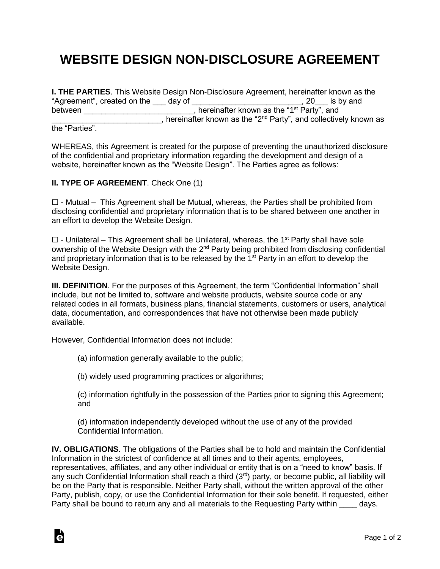## **WEBSITE DESIGN NON-DISCLOSURE AGREEMENT**

|                             |                                                       | <b>I. THE PARTIES.</b> This Website Design Non-Disclosure Agreement, hereinafter known as the |                     |
|-----------------------------|-------------------------------------------------------|-----------------------------------------------------------------------------------------------|---------------------|
| "Agreement", created on the | day of                                                |                                                                                               | , 20 $\;$ is by and |
| between                     | hereinafter known as the "1 <sup>st</sup> Party", and |                                                                                               |                     |
|                             |                                                       | , hereinafter known as the "2 <sup>nd</sup> Party", and collectively known as                 |                     |

the "Parties".

Ġ

WHEREAS, this Agreement is created for the purpose of preventing the unauthorized disclosure of the confidential and proprietary information regarding the development and design of a website, hereinafter known as the "Website Design". The Parties agree as follows:

## **II. TYPE OF AGREEMENT**. Check One (1)

 $\Box$  - Mutual – This Agreement shall be Mutual, whereas, the Parties shall be prohibited from disclosing confidential and proprietary information that is to be shared between one another in an effort to develop the Website Design.

 $\Box$  - Unilateral – This Agreement shall be Unilateral, whereas, the 1<sup>st</sup> Party shall have sole ownership of the Website Design with the 2<sup>nd</sup> Party being prohibited from disclosing confidential and proprietary information that is to be released by the 1<sup>st</sup> Party in an effort to develop the Website Design.

**III. DEFINITION.** For the purposes of this Agreement, the term "Confidential Information" shall include, but not be limited to, software and website products, website source code or any related codes in all formats, business plans, financial statements, customers or users, analytical data, documentation, and correspondences that have not otherwise been made publicly available.

However, Confidential Information does not include:

(a) information generally available to the public;

(b) widely used programming practices or algorithms;

(c) information rightfully in the possession of the Parties prior to signing this Agreement; and

(d) information independently developed without the use of any of the provided Confidential Information.

**IV. OBLIGATIONS**. The obligations of the Parties shall be to hold and maintain the Confidential Information in the strictest of confidence at all times and to their agents, employees, representatives, affiliates, and any other individual or entity that is on a "need to know" basis. If any such Confidential Information shall reach a third (3<sup>rd</sup>) party, or become public, all liability will be on the Party that is responsible. Neither Party shall, without the written approval of the other Party, publish, copy, or use the Confidential Information for their sole benefit. If requested, either Party shall be bound to return any and all materials to the Requesting Party within days.